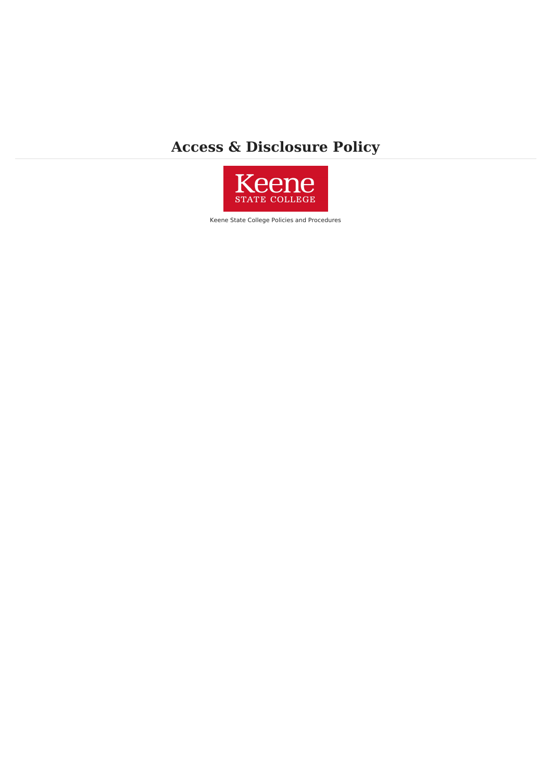# **Access & Disclosure Policy**



Keene State College Policies and Procedures